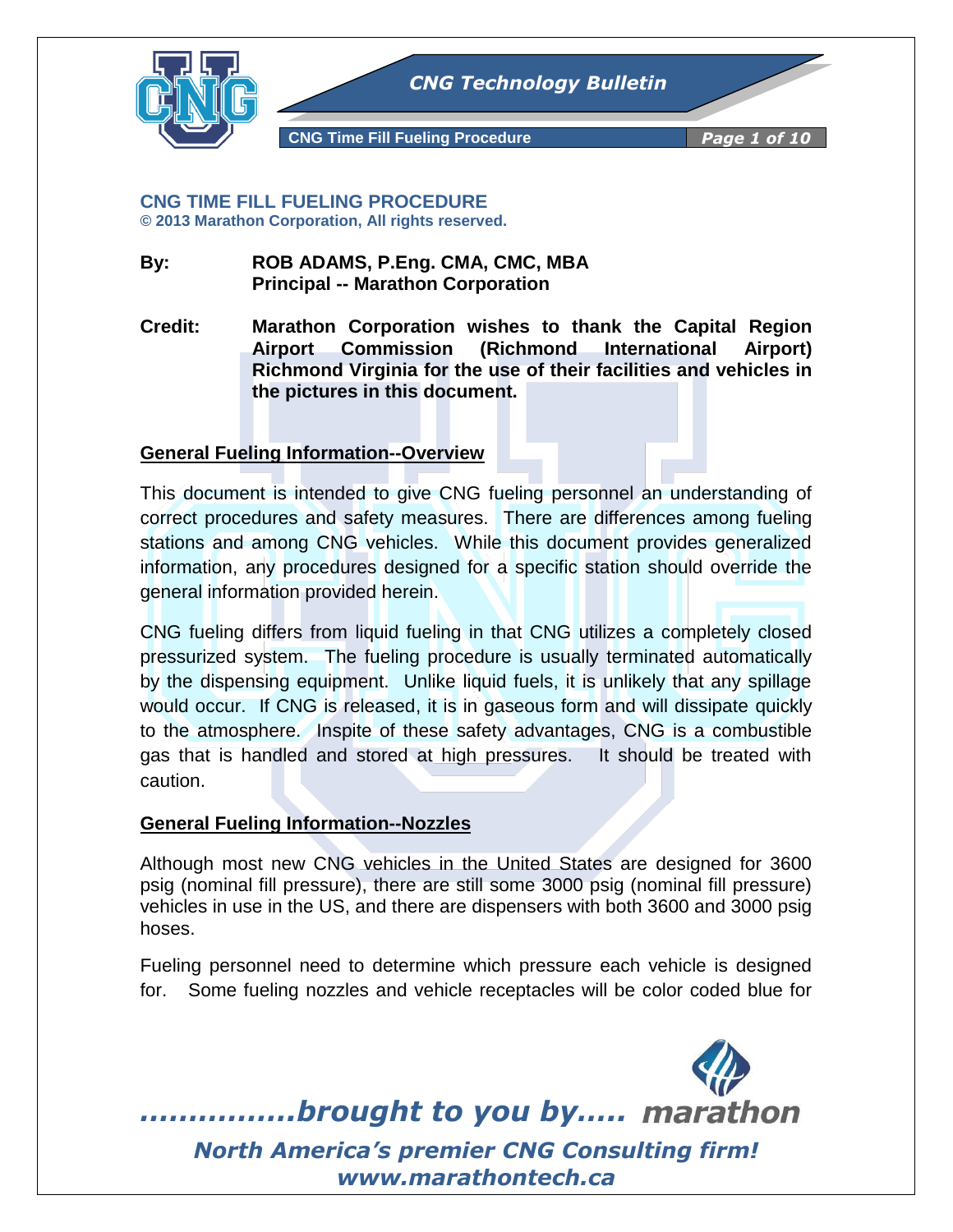

**CNG TIME FILL FUELING PROCEDURE © 2013 Marathon Corporation, All rights reserved.**

- **By: ROB ADAMS, P.Eng. CMA, CMC, MBA Principal -- Marathon Corporation**
- **Credit: Marathon Corporation wishes to thank the Capital Region Airport Commission (Richmond International Airport) Richmond Virginia for the use of their facilities and vehicles in the pictures in this document.**

# **General Fueling Information--Overview**

This document is intended to give CNG fueling personnel an understanding of correct procedures and safety measures. There are differences among fueling stations and among CNG vehicles. While this document provides generalized information, any procedures designed for a specific station should override the general information provided herein.

CNG fueling differs from liquid fueling in that CNG utilizes a completely closed pressurized system. The fueling procedure is usually terminated automatically by the dispensing equipment. Unlike liquid fuels, it is unlikely that any spillage would occur. If CNG is released, it is in gaseous form and will dissipate quickly to the atmosphere. Inspite of these safety advantages, CNG is a combustible gas that is handled and stored at high pressures. It should be treated with caution.

#### **General Fueling Information--Nozzles**

Although most new CNG vehicles in the United States are designed for 3600 psig (nominal fill pressure), there are still some 3000 psig (nominal fill pressure) vehicles in use in the US, and there are dispensers with both 3600 and 3000 psig hoses.

Fueling personnel need to determine which pressure each vehicle is designed for. Some fueling nozzles and vehicle receptacles will be color coded blue for

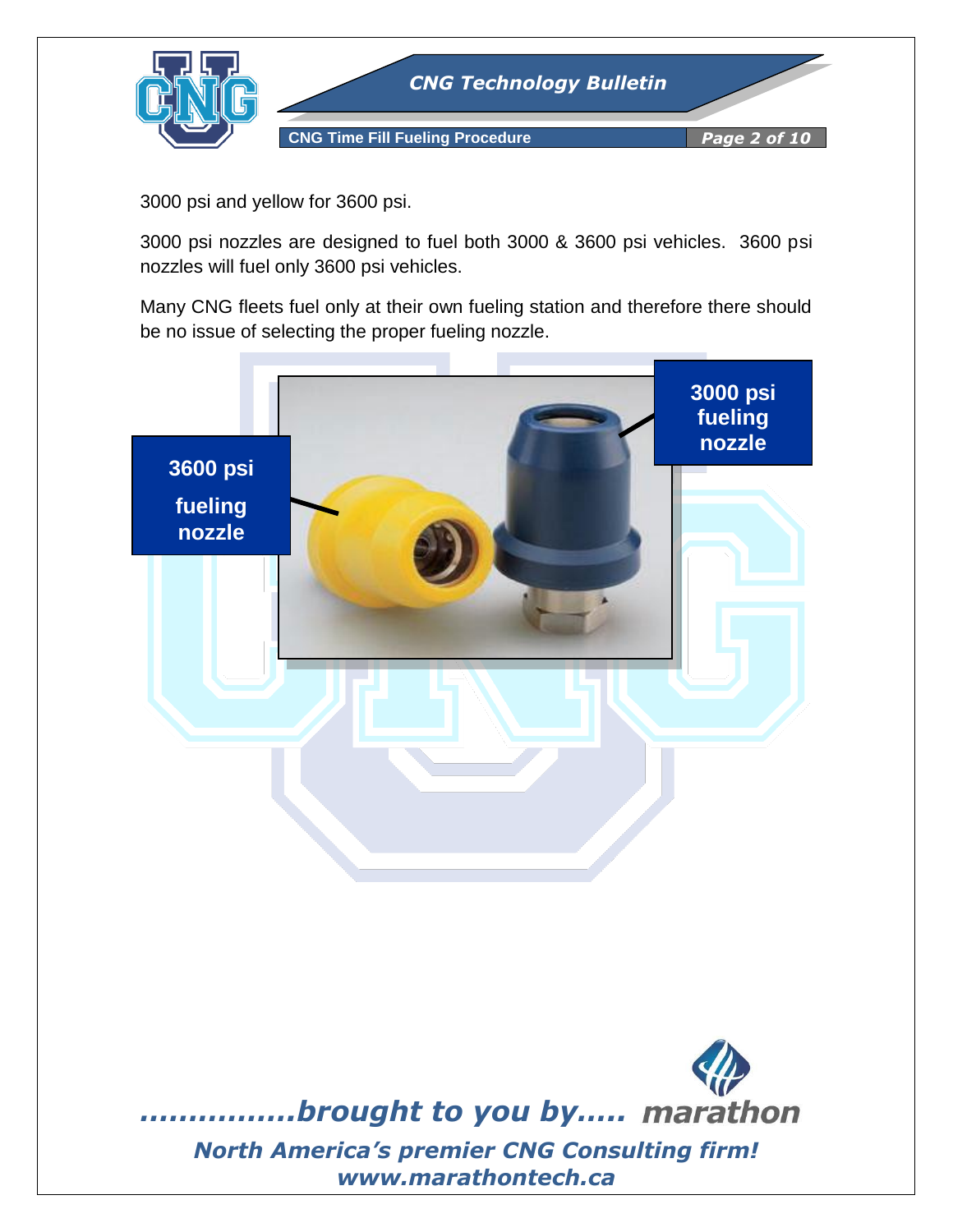

3000 psi and yellow for 3600 psi.

3000 psi nozzles are designed to fuel both 3000 & 3600 psi vehicles. 3600 psi nozzles will fuel only 3600 psi vehicles.

Many CNG fleets fuel only at their own fueling station and therefore there should be no issue of selecting the proper fueling nozzle.

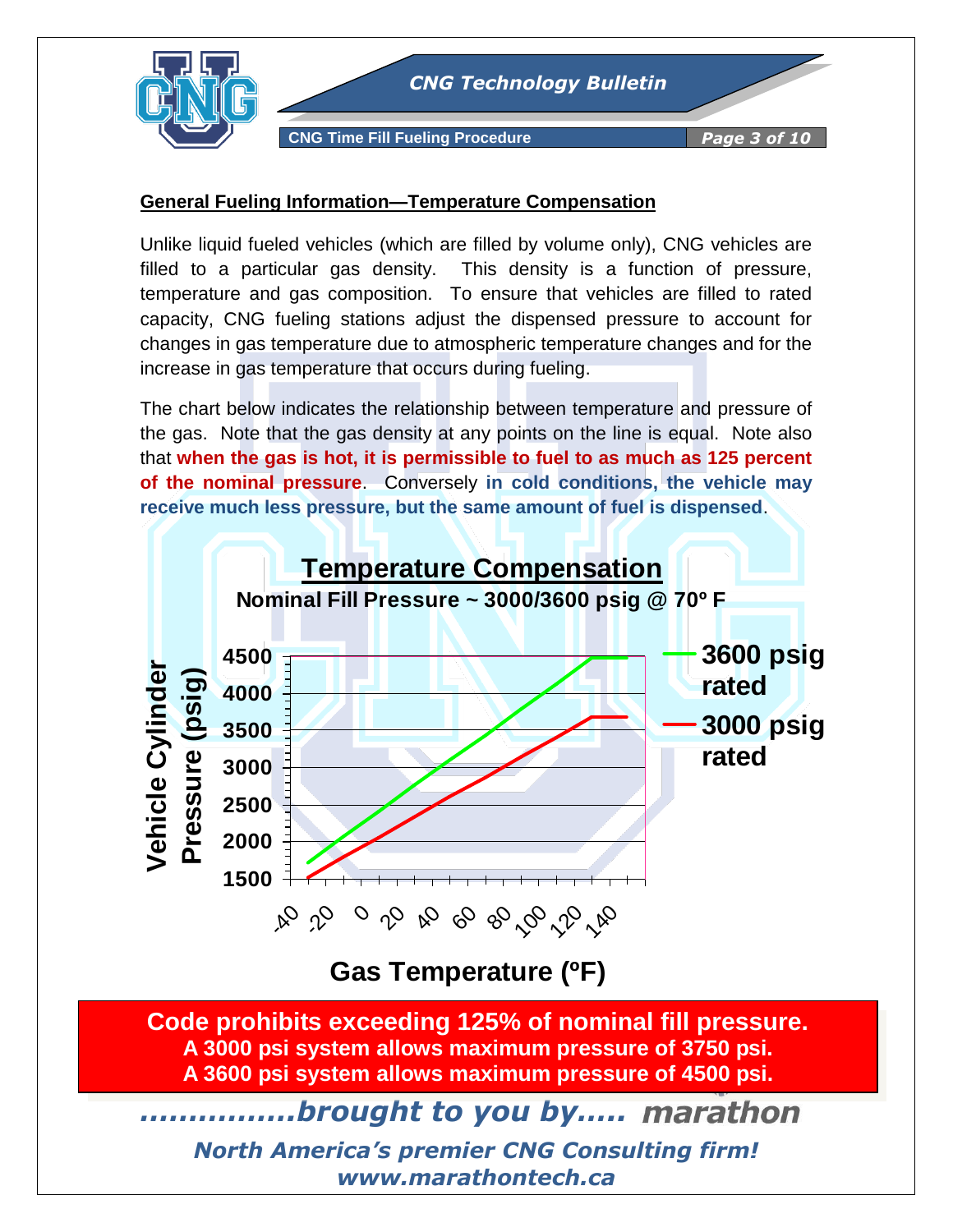

**CNG Time Fill Fueling Procedure** *Page 3 of 10*

### **General Fueling Information—Temperature Compensation**

Unlike liquid fueled vehicles (which are filled by volume only), CNG vehicles are filled to a particular gas density. This density is a function of pressure, temperature and gas composition. To ensure that vehicles are filled to rated capacity, CNG fueling stations adjust the dispensed pressure to account for changes in gas temperature due to atmospheric temperature changes and for the increase in gas temperature that occurs during fueling.

The chart below indicates the relationship between temperature and pressure of the gas. Note that the gas density at any points on the line is equal. Note also that **when the gas is hot, it is permissible to fuel to as much as 125 percent of the nominal pressure**. Conversely **in cold conditions, the vehicle may receive much less pressure, but the same amount of fuel is dispensed**.



**Gas Temperature (ºF)** 

**Code prohibits exceeding 125% of nominal fill pressure. A 3000 psi system allows maximum pressure of 3750 psi. A 3600 psi system allows maximum pressure of 4500 psi.**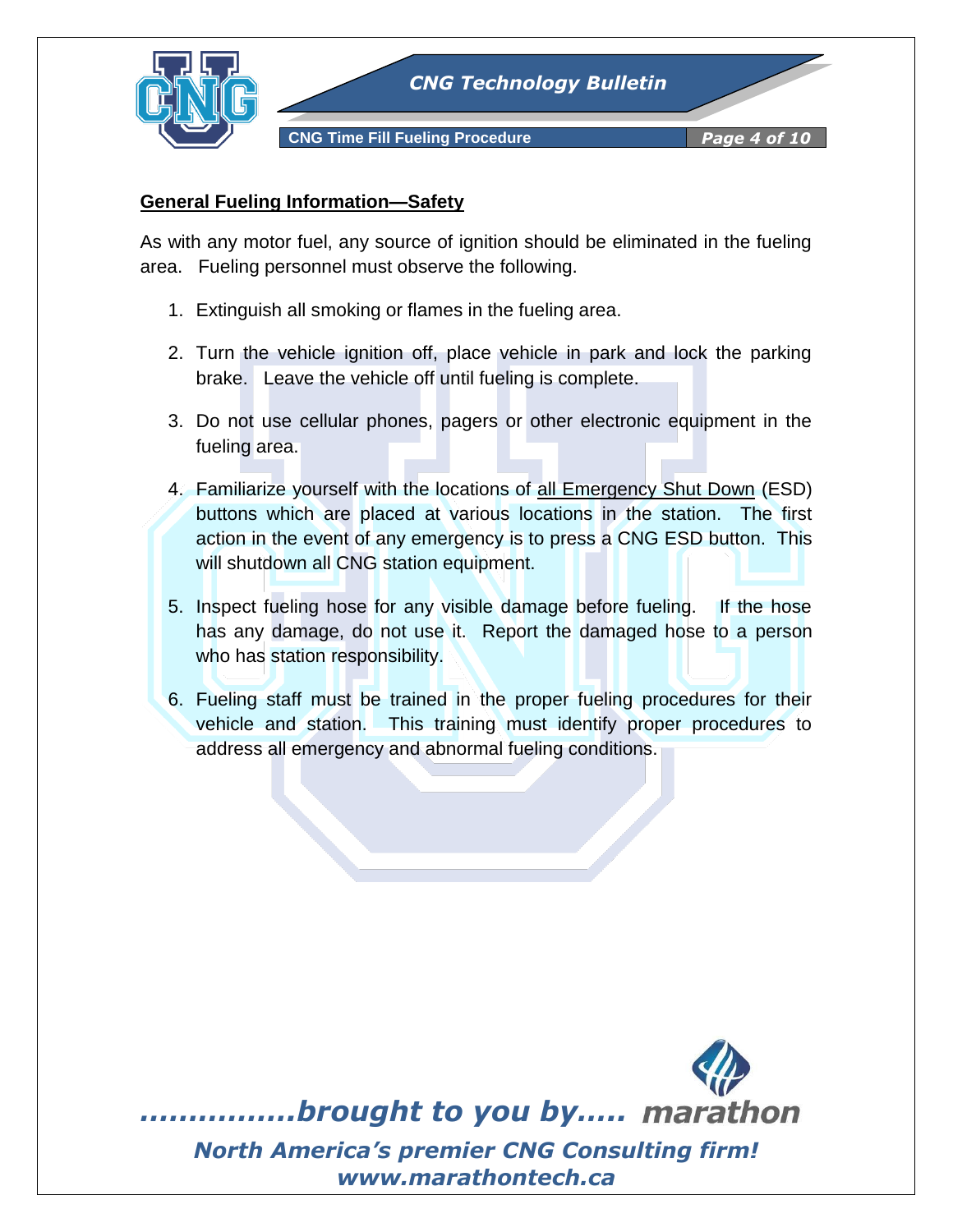

# **General Fueling Information—Safety**

As with any motor fuel, any source of ignition should be eliminated in the fueling area. Fueling personnel must observe the following.

- 1. Extinguish all smoking or flames in the fueling area.
- 2. Turn the vehicle ignition off, place vehicle in park and lock the parking brake. Leave the vehicle off until fueling is complete.
- 3. Do not use cellular phones, pagers or other electronic equipment in the fueling area.
- 4. Familiarize yourself with the locations of all Emergency Shut Down (ESD) buttons which are placed at various locations in the station. The first action in the event of any emergency is to press a CNG ESD button. This will shutdown all CNG station equipment.
- 5. Inspect fueling hose for any visible damage before fueling. If the hose has any damage, do not use it. Report the damaged hose to a person who has station responsibility.
- 6. Fueling staff must be trained in the proper fueling procedures for their vehicle and station. This training must identify proper procedures to address all emergency and abnormal fueling conditions.

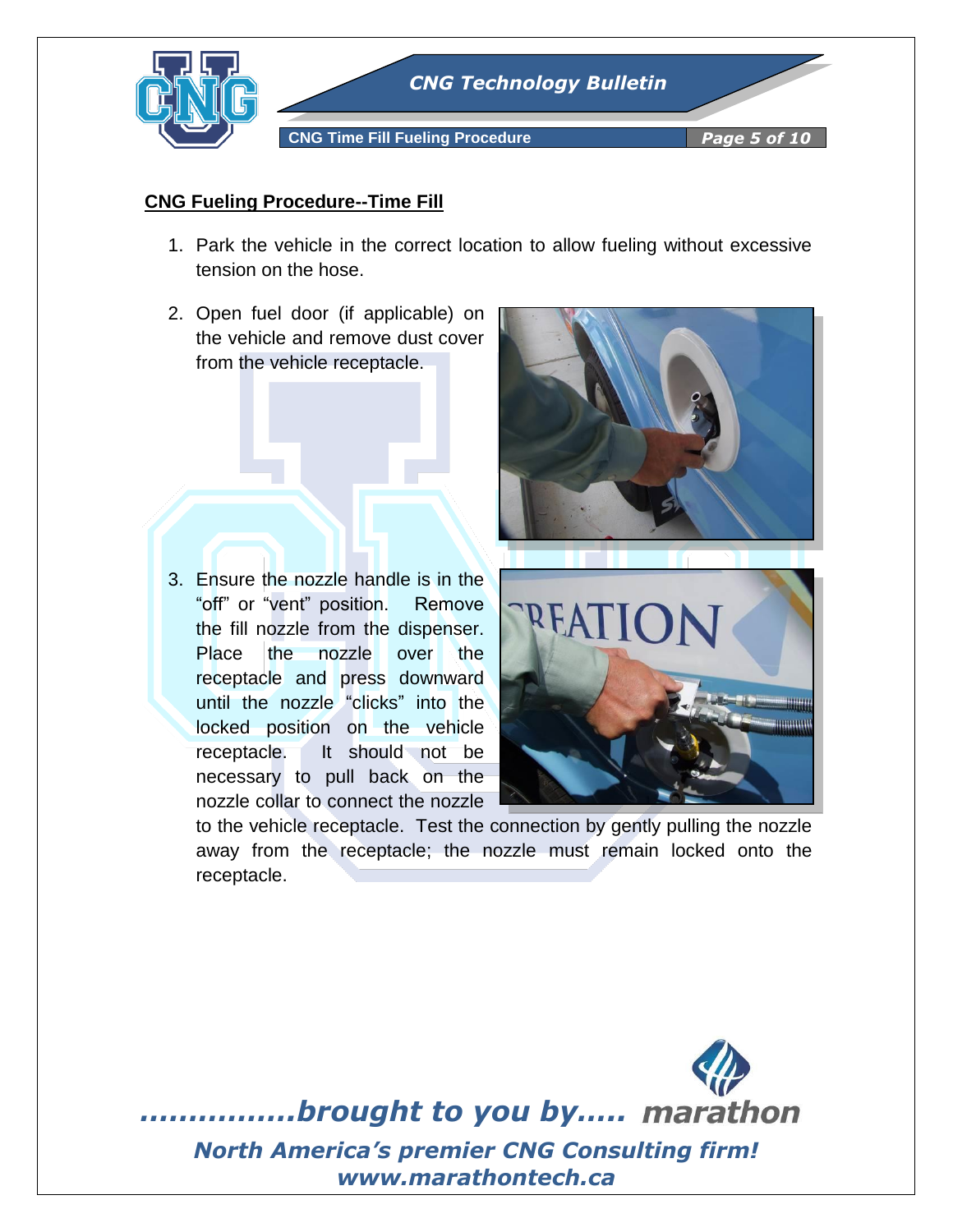

# **CNG Fueling Procedure--Time Fill**

- 1. Park the vehicle in the correct location to allow fueling without excessive tension on the hose.
- 2. Open fuel door (if applicable) on the vehicle and remove dust cover from the vehicle receptacle.

3. Ensure the nozzle handle is in the "off" or "vent" position. Remove the fill nozzle from the dispenser. Place the nozzle over the receptacle and press downward until the nozzle "clicks" into the locked position on the vehicle receptacle. It should not be necessary to pull back on the nozzle collar to connect the nozzle





to the vehicle receptacle. Test the connection by gently pulling the nozzle away from the receptacle; the nozzle must remain locked onto the receptacle.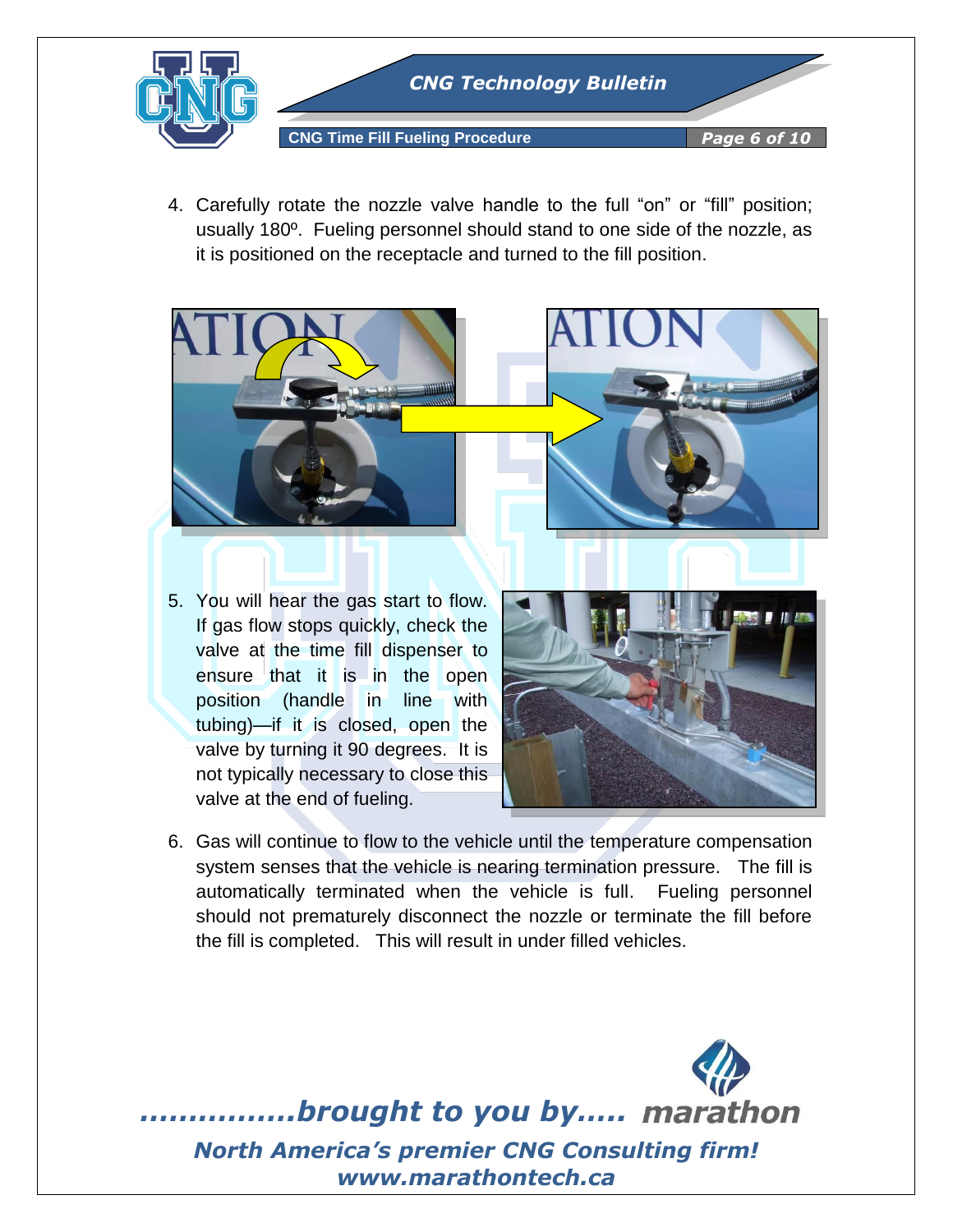

4. Carefully rotate the nozzle valve handle to the full "on" or "fill" position; usually 180º. Fueling personnel should stand to one side of the nozzle, as it is positioned on the receptacle and turned to the fill position.



5. You will hear the gas start to flow. If gas flow stops quickly, check the valve at the time fill dispenser to ensure that it is in the open position (handle in line with tubing)—if it is closed, open the valve by turning it 90 degrees. It is not typically necessary to close this valve at the end of fueling.



6. Gas will continue to flow to the vehicle until the temperature compensation system senses that the vehicle is nearing termination pressure. The fill is automatically terminated when the vehicle is full. Fueling personnel should not prematurely disconnect the nozzle or terminate the fill before the fill is completed. This will result in under filled vehicles.

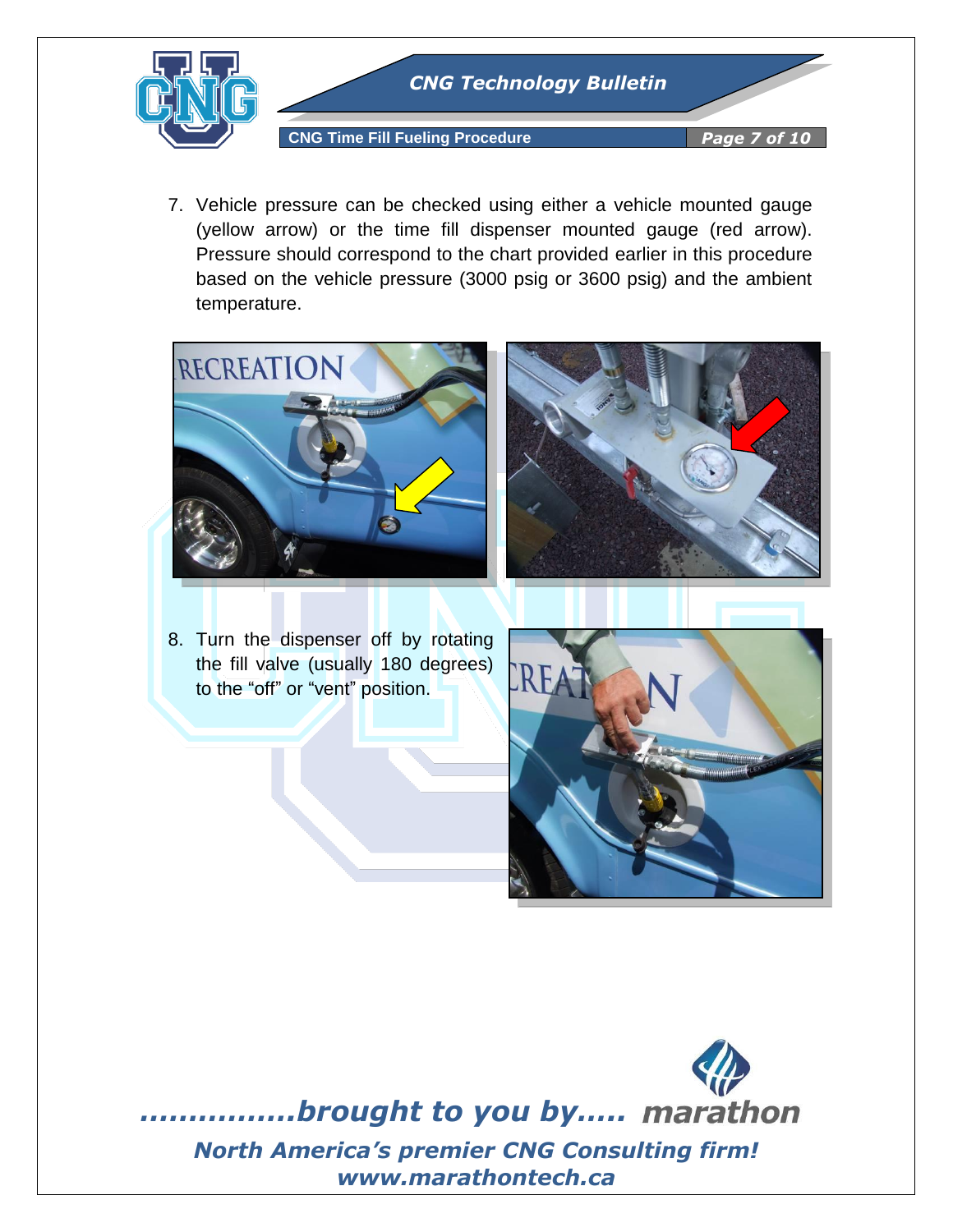

7. Vehicle pressure can be checked using either a vehicle mounted gauge (yellow arrow) or the time fill dispenser mounted gauge (red arrow). Pressure should correspond to the chart provided earlier in this procedure based on the vehicle pressure (3000 psig or 3600 psig) and the ambient temperature.





8. Turn the dispenser off by rotating the fill valve (usually 180 degrees) to the "off" or "vent" position.



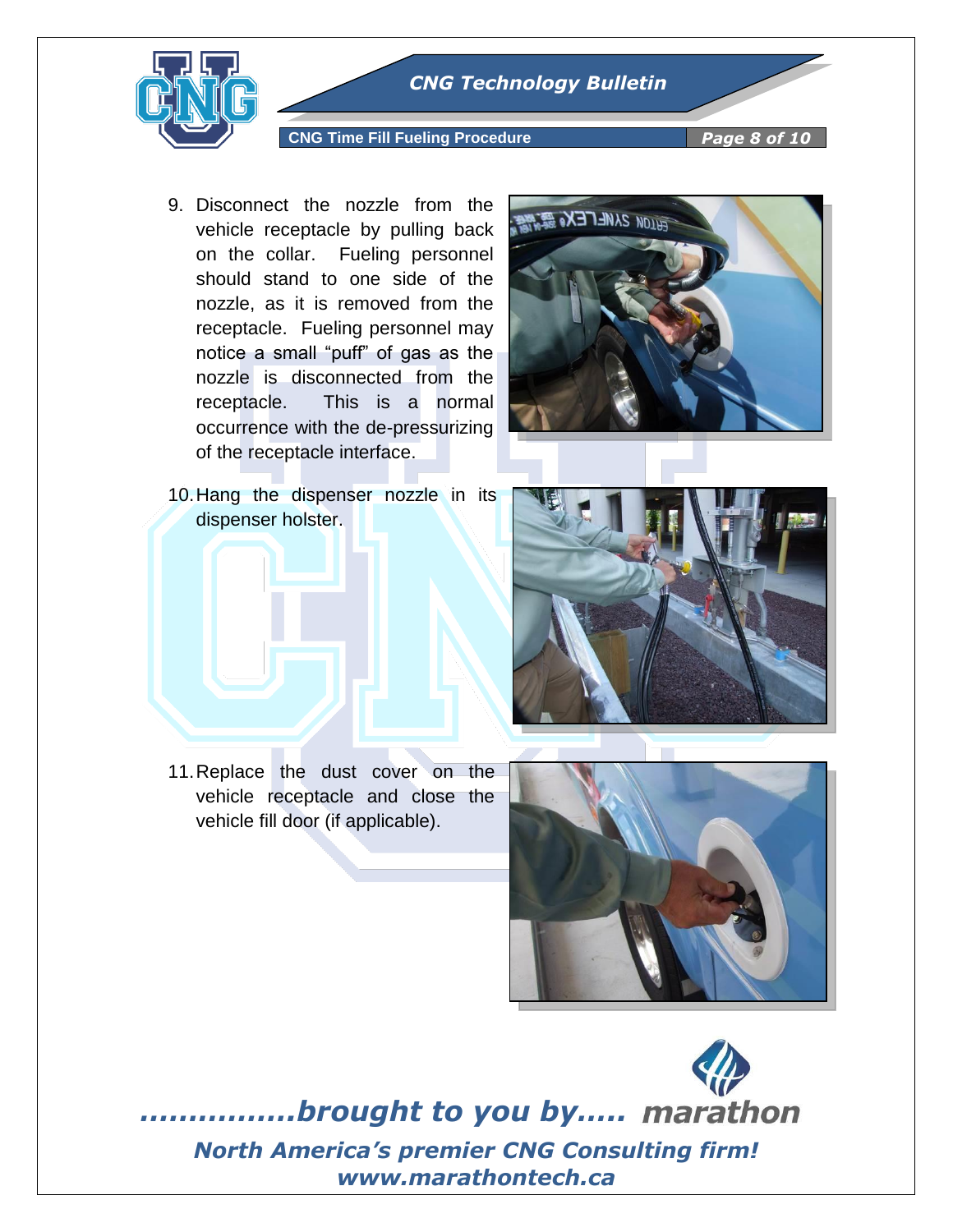

#### **CNG Time Fill Fueling Procedure** *Page 8 of 10*

9. Disconnect the nozzle from the vehicle receptacle by pulling back on the collar. Fueling personnel should stand to one side of the nozzle, as it is removed from the receptacle. Fueling personnel may notice a small "puff" of gas as the nozzle is disconnected from the receptacle. This is a normal occurrence with the de-pressurizing of the receptacle interface.



10.Hang the dispenser nozzle in its dispenser holster.



11.Replace the dust cover on the vehicle receptacle and close the vehicle fill door (if applicable).

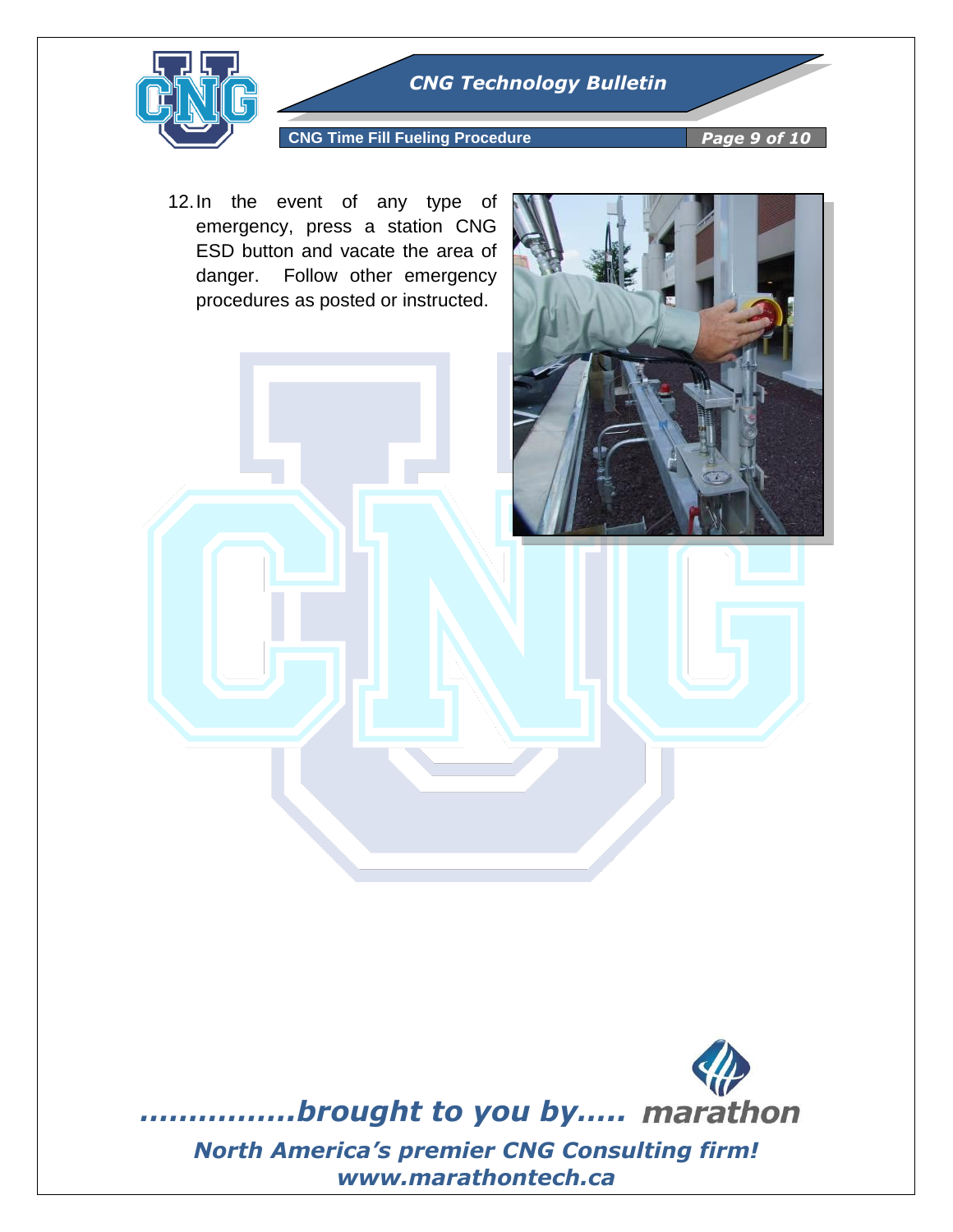

## **CNG Time Fill Fueling Procedure** *Page 9 of 10*

12.In the event of any type of emergency, press a station CNG ESD button and vacate the area of danger. Follow other emergency procedures as posted or instructed.